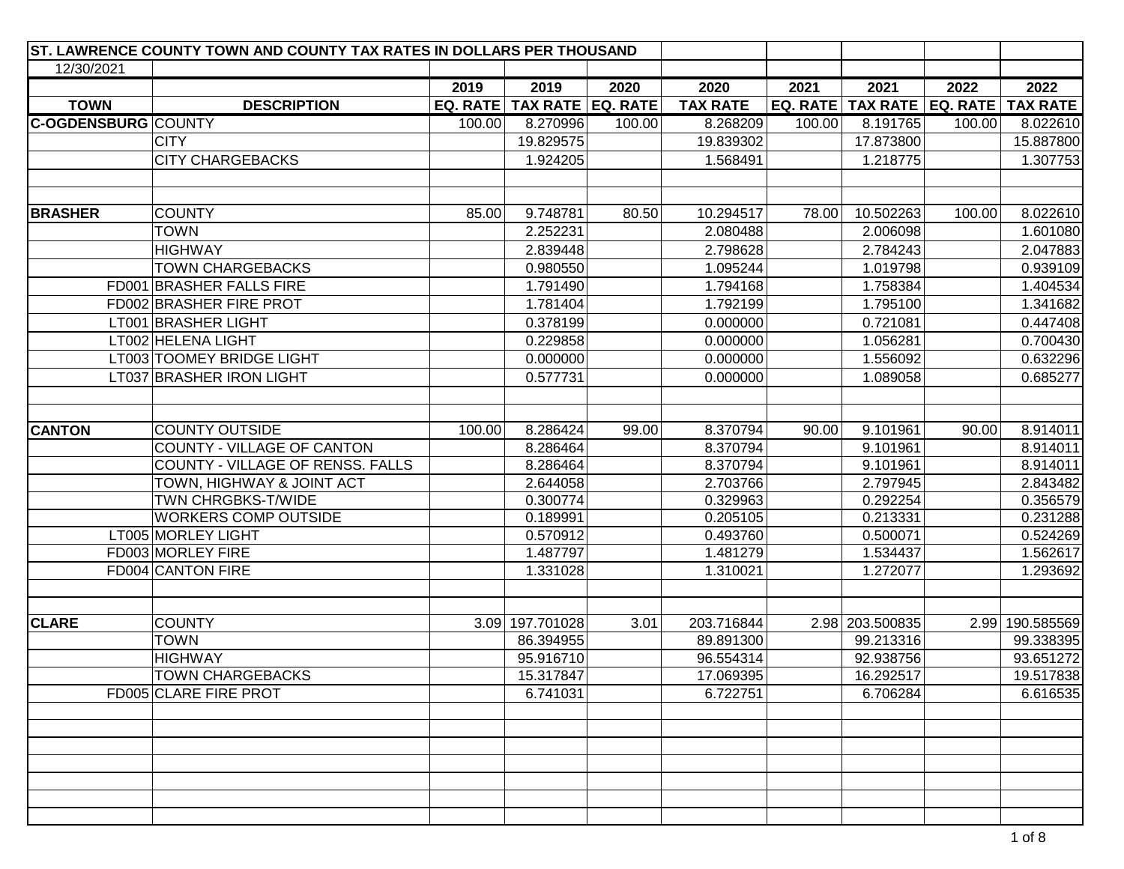| ST. LAWRENCE COUNTY TOWN AND COUNTY TAX RATES IN DOLLARS PER THOUSAND |        |                                |        |                       |        |                                           |        |                        |
|-----------------------------------------------------------------------|--------|--------------------------------|--------|-----------------------|--------|-------------------------------------------|--------|------------------------|
| 12/30/2021                                                            |        |                                |        |                       |        |                                           |        |                        |
|                                                                       | 2019   | 2019                           | 2020   | 2020                  | 2021   | 2021                                      | 2022   | 2022                   |
| <b>TOWN</b><br><b>DESCRIPTION</b>                                     |        | EQ. RATE   TAX RATE   EQ. RATE |        | <b>TAX RATE</b>       |        | EQ. RATE   TAX RATE   EQ. RATE   TAX RATE |        |                        |
| <b>C-OGDENSBURG COUNTY</b>                                            | 100.00 | 8.270996                       | 100.00 | 8.268209              | 100.00 | 8.191765                                  | 100.00 | 8.022610               |
| <b>CITY</b>                                                           |        | 19.829575                      |        | 19.839302             |        | 17.873800                                 |        | 15.887800              |
| <b>CITY CHARGEBACKS</b>                                               |        | 1.924205                       |        | 1.568491              |        | 1.218775                                  |        | 1.307753               |
|                                                                       |        |                                |        |                       |        |                                           |        |                        |
|                                                                       |        |                                |        |                       |        |                                           |        |                        |
| <b>BRASHER</b><br><b>COUNTY</b>                                       | 85.00  | 9.748781                       | 80.50  | 10.294517             | 78.00  | 10.502263                                 | 100.00 | 8.022610               |
| <b>TOWN</b>                                                           |        | 2.252231                       |        | 2.080488              |        | 2.006098                                  |        | 1.601080               |
| <b>HIGHWAY</b>                                                        |        | 2.839448                       |        | 2.798628              |        | 2.784243                                  |        | 2.047883               |
| <b>TOWN CHARGEBACKS</b>                                               |        | 0.980550                       |        | 1.095244              |        | 1.019798                                  |        | 0.939109               |
| FD001 BRASHER FALLS FIRE                                              |        | 1.791490                       |        | 1.794168              |        | 1.758384                                  |        | 1.404534               |
| FD002 BRASHER FIRE PROT                                               |        | 1.781404                       |        | 1.792199              |        | 1.795100                                  |        | 1.341682               |
| LT001 BRASHER LIGHT                                                   |        | 0.378199                       |        | 0.000000              |        | 0.721081                                  |        | 0.447408               |
| LT002 HELENA LIGHT                                                    |        | 0.229858                       |        | 0.000000              |        | 1.056281                                  |        | 0.700430               |
| LT003 TOOMEY BRIDGE LIGHT                                             |        | 0.000000                       |        | 0.000000              |        | 1.556092                                  |        | 0.632296               |
| LT037 BRASHER IRON LIGHT                                              |        | 0.577731                       |        | 0.000000              |        | 1.089058                                  |        | 0.685277               |
|                                                                       |        |                                |        |                       |        |                                           |        |                        |
|                                                                       |        |                                |        |                       |        |                                           |        |                        |
| <b>COUNTY OUTSIDE</b><br><b>CANTON</b>                                | 100.00 | 8.286424                       | 99.00  | 8.370794              | 90.00  | 9.101961                                  | 90.00  | 8.914011               |
| COUNTY - VILLAGE OF CANTON                                            |        | 8.286464                       |        | 8.370794              |        | 9.101961                                  |        | 8.914011               |
| COUNTY - VILLAGE OF RENSS. FALLS                                      |        | 8.286464                       |        | 8.370794              |        | 9.101961                                  |        | 8.914011               |
| TOWN, HIGHWAY & JOINT ACT                                             |        | 2.644058                       |        | 2.703766              |        | 2.797945                                  |        | 2.843482               |
| TWN CHRGBKS-T/WIDE                                                    |        | 0.300774                       |        | 0.329963              |        | 0.292254                                  |        | 0.356579               |
| <b>WORKERS COMP OUTSIDE</b>                                           |        | 0.189991                       |        | 0.205105              |        | 0.213331                                  |        | 0.231288               |
| LT005 MORLEY LIGHT                                                    |        | 0.570912                       |        | 0.493760              |        | 0.500071                                  |        | 0.524269               |
| FD003 MORLEY FIRE                                                     |        | 1.487797                       |        | 1.481279              |        | 1.534437                                  |        | 1.562617               |
| FD004 CANTON FIRE                                                     |        | 1.331028                       |        | 1.310021              |        | 1.272077                                  |        | 1.293692               |
|                                                                       |        |                                |        |                       |        |                                           |        |                        |
|                                                                       |        |                                |        |                       |        |                                           |        |                        |
| <b>COUNTY</b><br><b>CLARE</b><br><b>TOWN</b>                          |        | 3.09 197.701028                | 3.01   | 203.716844            |        | 2.98 203.500835                           |        | 2.99 190.585569        |
| <b>HIGHWAY</b>                                                        |        | 86.394955                      |        | 89.891300             |        | 99.213316                                 |        | 99.338395<br>93.651272 |
|                                                                       |        | 95.916710                      |        | 96.554314             |        | 92.938756                                 |        |                        |
| <b>TOWN CHARGEBACKS</b><br>FD005 CLARE FIRE PROT                      |        | 15.317847<br>6.741031          |        | 17.069395<br>6.722751 |        | 16.292517<br>6.706284                     |        | 19.517838<br>6.616535  |
|                                                                       |        |                                |        |                       |        |                                           |        |                        |
|                                                                       |        |                                |        |                       |        |                                           |        |                        |
|                                                                       |        |                                |        |                       |        |                                           |        |                        |
|                                                                       |        |                                |        |                       |        |                                           |        |                        |
|                                                                       |        |                                |        |                       |        |                                           |        |                        |
|                                                                       |        |                                |        |                       |        |                                           |        |                        |
|                                                                       |        |                                |        |                       |        |                                           |        |                        |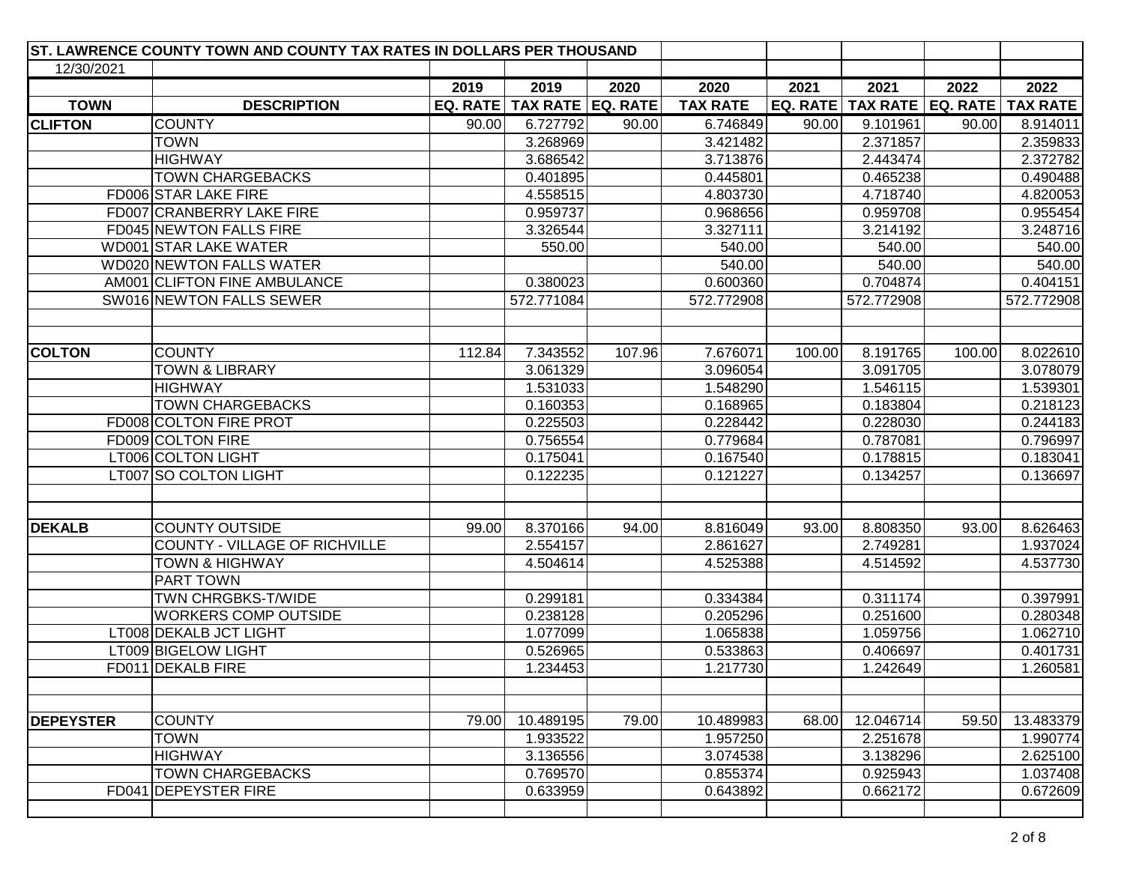|                  | ST. LAWRENCE COUNTY TOWN AND COUNTY TAX RATES IN DOLLARS PER THOUSAND |          |                   |        |                 |        |                                |        |                 |
|------------------|-----------------------------------------------------------------------|----------|-------------------|--------|-----------------|--------|--------------------------------|--------|-----------------|
| 12/30/2021       |                                                                       |          |                   |        |                 |        |                                |        |                 |
|                  |                                                                       | 2019     | 2019              | 2020   | 2020            | 2021   | 2021                           | 2022   | 2022            |
| <b>TOWN</b>      | <b>DESCRIPTION</b>                                                    | EQ. RATE | TAX RATE EQ. RATE |        | <b>TAX RATE</b> |        | EQ. RATE   TAX RATE   EQ. RATE |        | <b>TAX RATE</b> |
| <b>CLIFTON</b>   | <b>COUNTY</b>                                                         | 90.00    | 6.727792          | 90.00  | 6.746849        | 90.00  | 9.101961                       | 90.00  | 8.914011        |
|                  | <b>TOWN</b>                                                           |          | 3.268969          |        | 3.421482        |        | 2.371857                       |        | 2.359833        |
|                  | <b>HIGHWAY</b>                                                        |          | 3.686542          |        | 3.713876        |        | 2.443474                       |        | 2.372782        |
|                  | <b>TOWN CHARGEBACKS</b>                                               |          | 0.401895          |        | 0.445801        |        | 0.465238                       |        | 0.490488        |
|                  | FD006 STAR LAKE FIRE                                                  |          | 4.558515          |        | 4.803730        |        | 4.718740                       |        | 4.820053        |
|                  | FD007 CRANBERRY LAKE FIRE                                             |          | 0.959737          |        | 0.968656        |        | 0.959708                       |        | 0.955454        |
|                  | FD045 NEWTON FALLS FIRE                                               |          | 3.326544          |        | 3.327111        |        | 3.214192                       |        | 3.248716        |
|                  | WD001 STAR LAKE WATER                                                 |          | 550.00            |        | 540.00          |        | 540.00                         |        | 540.00          |
|                  | WD020 NEWTON FALLS WATER                                              |          |                   |        | 540.00          |        | 540.00                         |        | 540.00          |
|                  | AM001 CLIFTON FINE AMBULANCE                                          |          | 0.380023          |        | 0.600360        |        | 0.704874                       |        | 0.404151        |
|                  | SW016 NEWTON FALLS SEWER                                              |          | 572.771084        |        | 572.772908      |        | 572.772908                     |        | 572.772908      |
|                  |                                                                       |          |                   |        |                 |        |                                |        |                 |
| <b>COLTON</b>    | <b>COUNTY</b>                                                         | 112.84   | 7.343552          | 107.96 | 7.676071        | 100.00 | 8.191765                       | 100.00 | 8.022610        |
|                  | <b>TOWN &amp; LIBRARY</b>                                             |          | 3.061329          |        | 3.096054        |        | 3.091705                       |        | 3.078079        |
|                  | <b>HIGHWAY</b>                                                        |          | 1.531033          |        | 1.548290        |        | 1.546115                       |        | 1.539301        |
|                  | <b>TOWN CHARGEBACKS</b>                                               |          | 0.160353          |        | 0.168965        |        | 0.183804                       |        | 0.218123        |
|                  | FD008 COLTON FIRE PROT                                                |          | 0.225503          |        | 0.228442        |        | 0.228030                       |        | 0.244183        |
|                  | FD009 COLTON FIRE                                                     |          | 0.756554          |        | 0.779684        |        | 0.787081                       |        | 0.796997        |
|                  | LT006 COLTON LIGHT                                                    |          | 0.175041          |        | 0.167540        |        | 0.178815                       |        | 0.183041        |
|                  | LT007 SO COLTON LIGHT                                                 |          | 0.122235          |        | 0.121227        |        | 0.134257                       |        | 0.136697        |
|                  |                                                                       |          |                   |        |                 |        |                                |        |                 |
| <b>DEKALB</b>    | <b>COUNTY OUTSIDE</b>                                                 | 99.00    | 8.370166          | 94.00  | 8.816049        | 93.00  | 8.808350                       | 93.00  | 8.626463        |
|                  | COUNTY - VILLAGE OF RICHVILLE                                         |          | 2.554157          |        | 2.861627        |        | 2.749281                       |        | 1.937024        |
|                  | <b>TOWN &amp; HIGHWAY</b>                                             |          | 4.504614          |        | 4.525388        |        | 4.514592                       |        | 4.537730        |
|                  | PART TOWN                                                             |          |                   |        |                 |        |                                |        |                 |
|                  | TWN CHRGBKS-T/WIDE                                                    |          | 0.299181          |        | 0.334384        |        | 0.311174                       |        | 0.397991        |
|                  | <b>WORKERS COMP OUTSIDE</b>                                           |          | 0.238128          |        | 0.205296        |        | 0.251600                       |        | 0.280348        |
|                  | LT008 DEKALB JCT LIGHT                                                |          | 1.077099          |        | 1.065838        |        | 1.059756                       |        | 1.062710        |
|                  | LT009 BIGELOW LIGHT                                                   |          | 0.526965          |        | 0.533863        |        | 0.406697                       |        | 0.401731        |
|                  | FD011 DEKALB FIRE                                                     |          | 1.234453          |        | 1.217730        |        | 1.242649                       |        | 1.260581        |
|                  |                                                                       |          |                   |        |                 |        |                                |        |                 |
| <b>DEPEYSTER</b> | <b>COUNTY</b>                                                         | 79.00    | 10.489195         | 79.00  | 10.489983       | 68.00  | 12.046714                      | 59.50  | 13.483379       |
|                  | <b>TOWN</b>                                                           |          | 1.933522          |        | 1.957250        |        | 2.251678                       |        | 1.990774        |
|                  | <b>HIGHWAY</b>                                                        |          | 3.136556          |        | 3.074538        |        | 3.138296                       |        | 2.625100        |
|                  | <b>TOWN CHARGEBACKS</b>                                               |          | 0.769570          |        | 0.855374        |        | 0.925943                       |        | 1.037408        |
|                  | FD041 DEPEYSTER FIRE                                                  |          | 0.633959          |        | 0.643892        |        | 0.662172                       |        | 0.672609        |
|                  |                                                                       |          |                   |        |                 |        |                                |        |                 |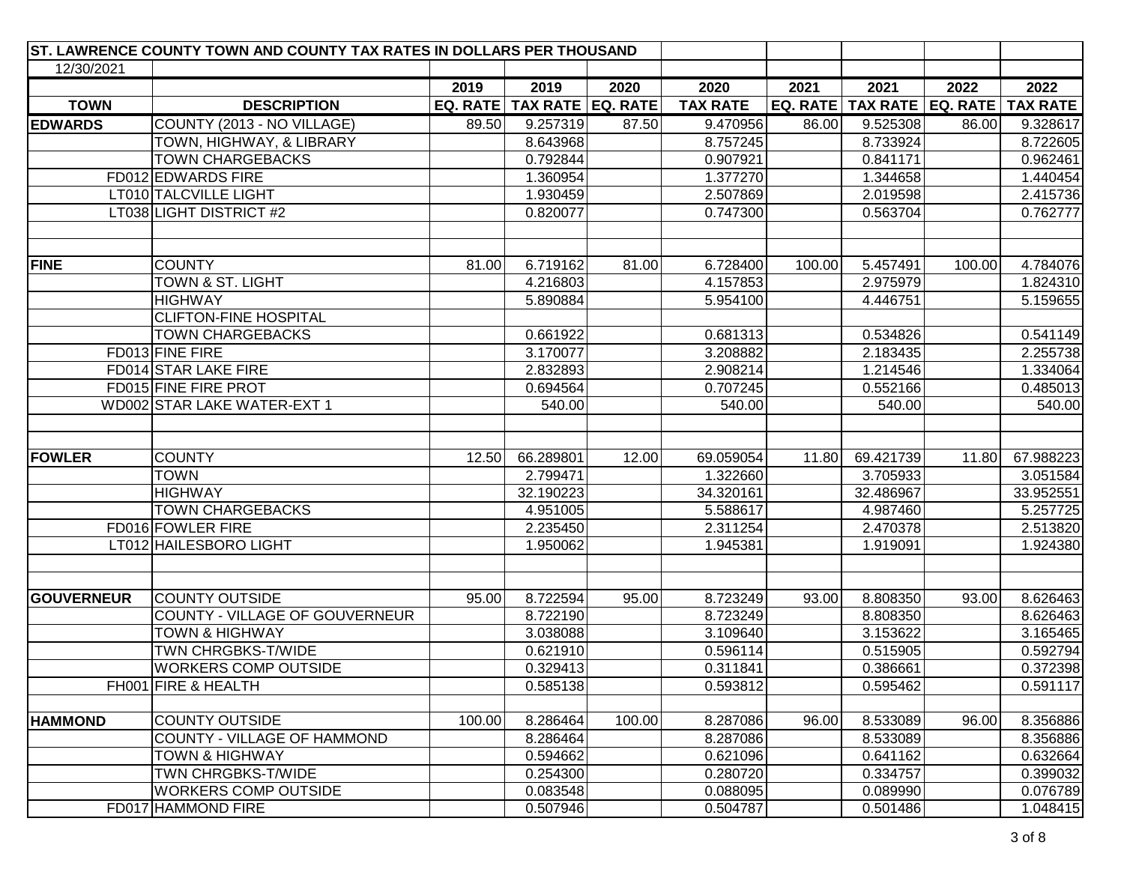| ST. LAWRENCE COUNTY TOWN AND COUNTY TAX RATES IN DOLLARS PER THOUSAND |                                |        |                                |        |                 |        |                                           |        |           |
|-----------------------------------------------------------------------|--------------------------------|--------|--------------------------------|--------|-----------------|--------|-------------------------------------------|--------|-----------|
| 12/30/2021                                                            |                                |        |                                |        |                 |        |                                           |        |           |
|                                                                       |                                | 2019   | 2019                           | 2020   | 2020            | 2021   | 2021                                      | 2022   | 2022      |
| <b>TOWN</b>                                                           | <b>DESCRIPTION</b>             |        | EQ. RATE   TAX RATE   EQ. RATE |        | <b>TAX RATE</b> |        | EQ. RATE   TAX RATE   EQ. RATE   TAX RATE |        |           |
| <b>EDWARDS</b>                                                        | COUNTY (2013 - NO VILLAGE)     | 89.50  | 9.257319                       | 87.50  | 9.470956        | 86.00  | 9.525308                                  | 86.00  | 9.328617  |
|                                                                       | TOWN, HIGHWAY, & LIBRARY       |        | 8.643968                       |        | 8.757245        |        | 8.733924                                  |        | 8.722605  |
|                                                                       | <b>TOWN CHARGEBACKS</b>        |        | 0.792844                       |        | 0.907921        |        | 0.841171                                  |        | 0.962461  |
|                                                                       | FD012 EDWARDS FIRE             |        | 1.360954                       |        | 1.377270        |        | 1.344658                                  |        | 1.440454  |
|                                                                       | LT010 TALCVILLE LIGHT          |        | 1.930459                       |        | 2.507869        |        | 2.019598                                  |        | 2.415736  |
|                                                                       | LT038 LIGHT DISTRICT #2        |        | 0.820077                       |        | 0.747300        |        | 0.563704                                  |        | 0.762777  |
|                                                                       |                                |        |                                |        |                 |        |                                           |        |           |
| <b>FINE</b>                                                           | <b>COUNTY</b>                  | 81.00  | 6.719162                       | 81.00  | 6.728400        | 100.00 | 5.457491                                  | 100.00 | 4.784076  |
|                                                                       | TOWN & ST. LIGHT               |        | 4.216803                       |        | 4.157853        |        | 2.975979                                  |        | 1.824310  |
|                                                                       | <b>HIGHWAY</b>                 |        | 5.890884                       |        | 5.954100        |        | 4.446751                                  |        | 5.159655  |
|                                                                       | <b>CLIFTON-FINE HOSPITAL</b>   |        |                                |        |                 |        |                                           |        |           |
|                                                                       | <b>TOWN CHARGEBACKS</b>        |        | 0.661922                       |        | 0.681313        |        | 0.534826                                  |        | 0.541149  |
|                                                                       | FD013 FINE FIRE                |        | 3.170077                       |        | 3.208882        |        | 2.183435                                  |        | 2.255738  |
|                                                                       | FD014 STAR LAKE FIRE           |        | 2.832893                       |        | 2.908214        |        | 1.214546                                  |        | 1.334064  |
|                                                                       | FD015 FINE FIRE PROT           |        | 0.694564                       |        | 0.707245        |        | 0.552166                                  |        | 0.485013  |
|                                                                       | WD002 STAR LAKE WATER-EXT 1    |        | 540.00                         |        | 540.00          |        | 540.00                                    |        | 540.00    |
| <b>FOWLER</b>                                                         | <b>COUNTY</b>                  | 12.50  | 66.289801                      | 12.00  | 69.059054       | 11.80  | 69.421739                                 | 11.80  | 67.988223 |
|                                                                       | <b>TOWN</b>                    |        | 2.799471                       |        | 1.322660        |        | 3.705933                                  |        | 3.051584  |
|                                                                       | <b>HIGHWAY</b>                 |        | 32.190223                      |        | 34.320161       |        | 32.486967                                 |        | 33.952551 |
|                                                                       | <b>TOWN CHARGEBACKS</b>        |        | 4.951005                       |        | 5.588617        |        | 4.987460                                  |        | 5.257725  |
|                                                                       | FD016 FOWLER FIRE              |        | 2.235450                       |        | 2.311254        |        | 2.470378                                  |        | 2.513820  |
|                                                                       | LT012 HAILESBORO LIGHT         |        | 1.950062                       |        | 1.945381        |        | 1.919091                                  |        | 1.924380  |
| <b>GOUVERNEUR</b>                                                     | <b>COUNTY OUTSIDE</b>          | 95.00  | 8.722594                       | 95.00  | 8.723249        | 93.00  | 8.808350                                  | 93.00  | 8.626463  |
|                                                                       | COUNTY - VILLAGE OF GOUVERNEUR |        | 8.722190                       |        | 8.723249        |        | 8.808350                                  |        | 8.626463  |
|                                                                       | <b>TOWN &amp; HIGHWAY</b>      |        | 3.038088                       |        | 3.109640        |        | 3.153622                                  |        | 3.165465  |
|                                                                       | TWN CHRGBKS-T/WIDE             |        | 0.621910                       |        | 0.596114        |        | 0.515905                                  |        | 0.592794  |
|                                                                       | <b>WORKERS COMP OUTSIDE</b>    |        | 0.329413                       |        | 0.311841        |        | 0.386661                                  |        | 0.372398  |
|                                                                       | FH001 FIRE & HEALTH            |        | 0.585138                       |        | 0.593812        |        | 0.595462                                  |        | 0.591117  |
| <b>HAMMOND</b>                                                        | <b>COUNTY OUTSIDE</b>          | 100.00 | 8.286464                       | 100.00 | 8.287086        | 96.00  | 8.533089                                  | 96.00  | 8.356886  |
|                                                                       | COUNTY - VILLAGE OF HAMMOND    |        | 8.286464                       |        | 8.287086        |        | 8.533089                                  |        | 8.356886  |
|                                                                       | <b>TOWN &amp; HIGHWAY</b>      |        | 0.594662                       |        | 0.621096        |        | 0.641162                                  |        | 0.632664  |
|                                                                       | TWN CHRGBKS-T/WIDE             |        | 0.254300                       |        | 0.280720        |        | 0.334757                                  |        | 0.399032  |
|                                                                       | <b>WORKERS COMP OUTSIDE</b>    |        | 0.083548                       |        | 0.088095        |        | 0.089990                                  |        | 0.076789  |
|                                                                       | FD017 HAMMOND FIRE             |        | 0.507946                       |        | 0.504787        |        | 0.501486                                  |        | 1.048415  |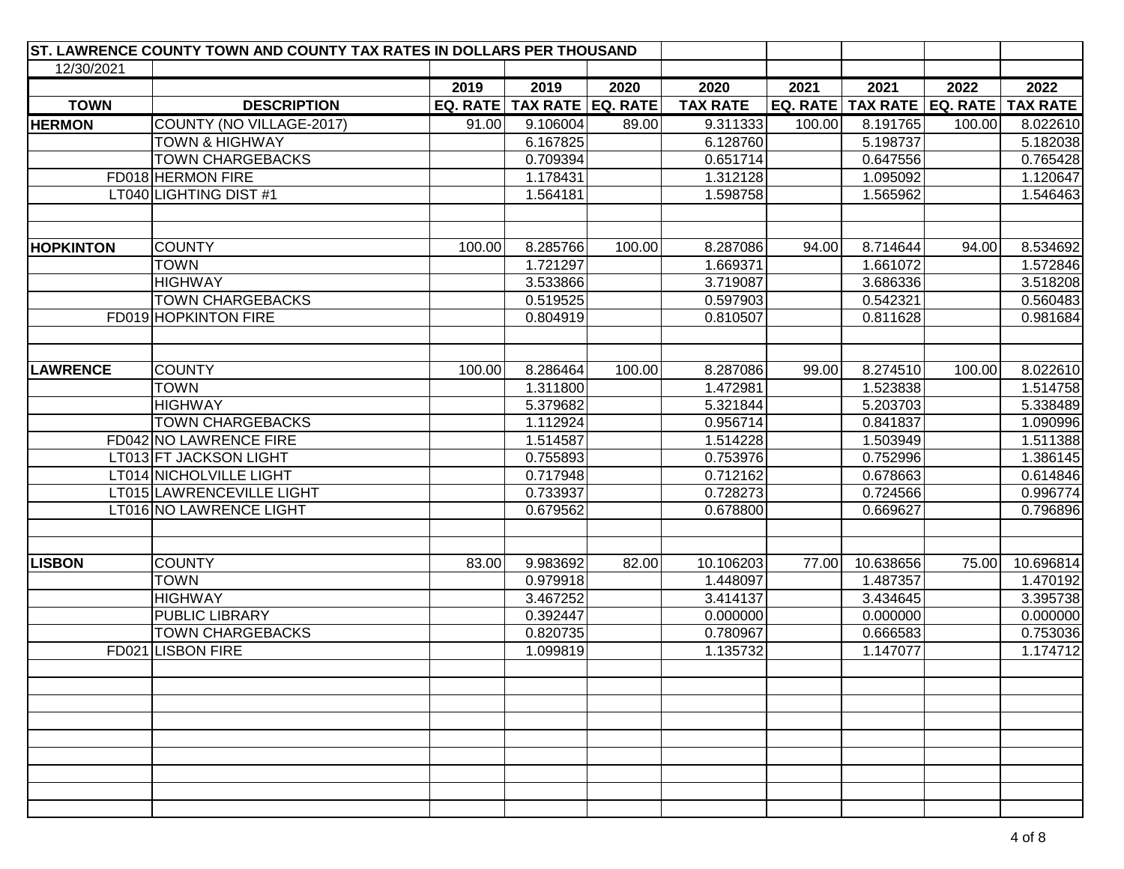|                  | ST. LAWRENCE COUNTY TOWN AND COUNTY TAX RATES IN DOLLARS PER THOUSAND |        |                                |        |                 |        |                                           |        |           |
|------------------|-----------------------------------------------------------------------|--------|--------------------------------|--------|-----------------|--------|-------------------------------------------|--------|-----------|
| 12/30/2021       |                                                                       |        |                                |        |                 |        |                                           |        |           |
|                  |                                                                       | 2019   | 2019                           | 2020   | 2020            | 2021   | 2021                                      | 2022   | 2022      |
| <b>TOWN</b>      | <b>DESCRIPTION</b>                                                    |        | EQ. RATE   TAX RATE   EQ. RATE |        | <b>TAX RATE</b> |        | EQ. RATE   TAX RATE   EQ. RATE   TAX RATE |        |           |
| <b>HERMON</b>    | COUNTY (NO VILLAGE-2017)                                              | 91.00  | 9.106004                       | 89.00  | 9.311333        | 100.00 | 8.191765                                  | 100.00 | 8.022610  |
|                  | <b>TOWN &amp; HIGHWAY</b>                                             |        | 6.167825                       |        | 6.128760        |        | 5.198737                                  |        | 5.182038  |
|                  | <b>TOWN CHARGEBACKS</b>                                               |        | 0.709394                       |        | 0.651714        |        | 0.647556                                  |        | 0.765428  |
|                  | FD018 HERMON FIRE                                                     |        | 1.178431                       |        | 1.312128        |        | 1.095092                                  |        | 1.120647  |
|                  | LT040 LIGHTING DIST #1                                                |        | 1.564181                       |        | 1.598758        |        | 1.565962                                  |        | 1.546463  |
|                  |                                                                       |        |                                |        |                 |        |                                           |        |           |
|                  |                                                                       |        |                                |        |                 |        |                                           |        |           |
| <b>HOPKINTON</b> | <b>COUNTY</b>                                                         | 100.00 | 8.285766                       | 100.00 | 8.287086        | 94.00  | 8.714644                                  | 94.00  | 8.534692  |
|                  | <b>TOWN</b>                                                           |        | 1.721297                       |        | 1.669371        |        | 1.661072                                  |        | 1.572846  |
|                  | <b>HIGHWAY</b>                                                        |        | 3.533866                       |        | 3.719087        |        | 3.686336                                  |        | 3.518208  |
|                  | <b>TOWN CHARGEBACKS</b>                                               |        | 0.519525                       |        | 0.597903        |        | 0.542321                                  |        | 0.560483  |
|                  | FD019 HOPKINTON FIRE                                                  |        | 0.804919                       |        | 0.810507        |        | 0.811628                                  |        | 0.981684  |
|                  |                                                                       |        |                                |        |                 |        |                                           |        |           |
|                  |                                                                       |        |                                |        |                 |        |                                           |        |           |
| <b>LAWRENCE</b>  | <b>COUNTY</b>                                                         | 100.00 | 8.286464                       | 100.00 | 8.287086        | 99.00  | 8.274510                                  | 100.00 | 8.022610  |
|                  | <b>TOWN</b>                                                           |        | 1.311800                       |        | 1.472981        |        | 1.523838                                  |        | 1.514758  |
|                  | <b>HIGHWAY</b>                                                        |        | 5.379682                       |        | 5.321844        |        | 5.203703                                  |        | 5.338489  |
|                  | <b>TOWN CHARGEBACKS</b>                                               |        | 1.112924                       |        | 0.956714        |        | 0.841837                                  |        | 1.090996  |
|                  | FD042 NO LAWRENCE FIRE                                                |        | 1.514587                       |        | 1.514228        |        | 1.503949                                  |        | 1.511388  |
|                  | LT013 FT JACKSON LIGHT                                                |        | 0.755893                       |        | 0.753976        |        | 0.752996                                  |        | 1.386145  |
|                  | LT014 NICHOLVILLE LIGHT                                               |        | 0.717948                       |        | 0.712162        |        | 0.678663                                  |        | 0.614846  |
|                  | LT015 LAWRENCEVILLE LIGHT                                             |        | 0.733937                       |        | 0.728273        |        | 0.724566                                  |        | 0.996774  |
|                  | LT016 NO LAWRENCE LIGHT                                               |        | 0.679562                       |        | 0.678800        |        | 0.669627                                  |        | 0.796896  |
|                  |                                                                       |        |                                |        |                 |        |                                           |        |           |
|                  |                                                                       |        |                                |        |                 |        |                                           |        |           |
| <b>LISBON</b>    | <b>COUNTY</b>                                                         | 83.00  | 9.983692                       | 82.00  | 10.106203       | 77.00  | 10.638656                                 | 75.00  | 10.696814 |
|                  | <b>TOWN</b>                                                           |        | 0.979918                       |        | 1.448097        |        | 1.487357                                  |        | 1.470192  |
|                  | <b>HIGHWAY</b>                                                        |        | 3.467252                       |        | 3.414137        |        | 3.434645                                  |        | 3.395738  |
|                  | PUBLIC LIBRARY                                                        |        | 0.392447                       |        | 0.000000        |        | 0.000000                                  |        | 0.000000  |
|                  | <b>TOWN CHARGEBACKS</b>                                               |        | 0.820735                       |        | 0.780967        |        | 0.666583                                  |        | 0.753036  |
|                  | FD021 LISBON FIRE                                                     |        | 1.099819                       |        | 1.135732        |        | 1.147077                                  |        | 1.174712  |
|                  |                                                                       |        |                                |        |                 |        |                                           |        |           |
|                  |                                                                       |        |                                |        |                 |        |                                           |        |           |
|                  |                                                                       |        |                                |        |                 |        |                                           |        |           |
|                  |                                                                       |        |                                |        |                 |        |                                           |        |           |
|                  |                                                                       |        |                                |        |                 |        |                                           |        |           |
|                  |                                                                       |        |                                |        |                 |        |                                           |        |           |
|                  |                                                                       |        |                                |        |                 |        |                                           |        |           |
|                  |                                                                       |        |                                |        |                 |        |                                           |        |           |
|                  |                                                                       |        |                                |        |                 |        |                                           |        |           |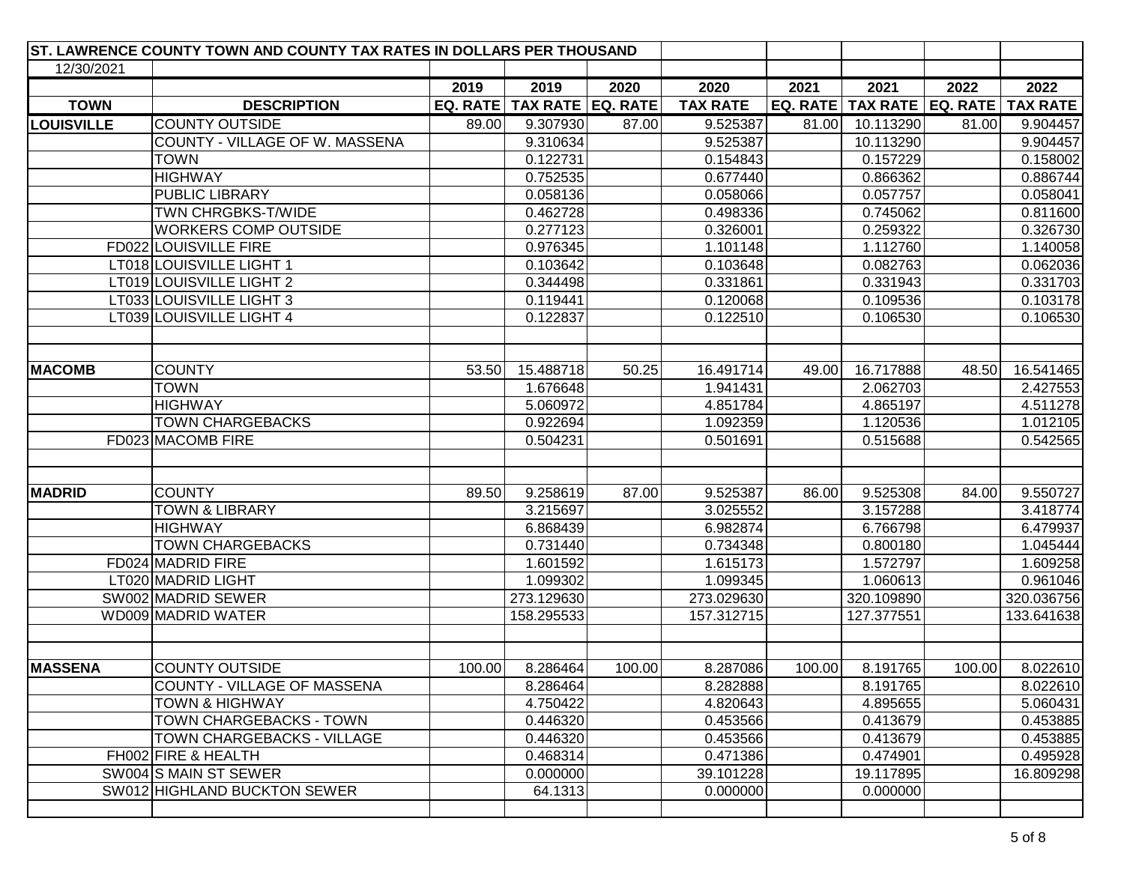|                   | ST. LAWRENCE COUNTY TOWN AND COUNTY TAX RATES IN DOLLARS PER THOUSAND |        |                                |        |                 |        |                                |        |                 |
|-------------------|-----------------------------------------------------------------------|--------|--------------------------------|--------|-----------------|--------|--------------------------------|--------|-----------------|
| 12/30/2021        |                                                                       |        |                                |        |                 |        |                                |        |                 |
|                   |                                                                       | 2019   | 2019                           | 2020   | 2020            | 2021   | 2021                           | 2022   | 2022            |
| <b>TOWN</b>       | <b>DESCRIPTION</b>                                                    |        | EQ. RATE   TAX RATE   EQ. RATE |        | <b>TAX RATE</b> |        | EQ. RATE   TAX RATE   EQ. RATE |        | <b>TAX RATE</b> |
| <b>LOUISVILLE</b> | <b>COUNTY OUTSIDE</b>                                                 | 89.00  | 9.307930                       | 87.00  | 9.525387        | 81.00  | 10.113290                      | 81.00  | 9.904457        |
|                   | COUNTY - VILLAGE OF W. MASSENA                                        |        | 9.310634                       |        | 9.525387        |        | 10.113290                      |        | 9.904457        |
|                   | <b>TOWN</b>                                                           |        | 0.122731                       |        | 0.154843        |        | 0.157229                       |        | 0.158002        |
|                   | <b>HIGHWAY</b>                                                        |        | 0.752535                       |        | 0.677440        |        | 0.866362                       |        | 0.886744        |
|                   | PUBLIC LIBRARY                                                        |        | 0.058136                       |        | 0.058066        |        | 0.057757                       |        | 0.058041        |
|                   | TWN CHRGBKS-T/WIDE                                                    |        | 0.462728                       |        | 0.498336        |        | 0.745062                       |        | 0.811600        |
|                   | <b>WORKERS COMP OUTSIDE</b>                                           |        | 0.277123                       |        | 0.326001        |        | 0.259322                       |        | 0.326730        |
|                   | FD022 LOUISVILLE FIRE                                                 |        | 0.976345                       |        | 1.101148        |        | 1.112760                       |        | 1.140058        |
|                   | LT018 LOUISVILLE LIGHT 1                                              |        | 0.103642                       |        | 0.103648        |        | 0.082763                       |        | 0.062036        |
|                   | LT019 LOUISVILLE LIGHT 2                                              |        | 0.344498                       |        | 0.331861        |        | 0.331943                       |        | 0.331703        |
|                   | LT033 LOUISVILLE LIGHT 3                                              |        | 0.119441                       |        | 0.120068        |        | 0.109536                       |        | 0.103178        |
|                   | LT039 LOUISVILLE LIGHT 4                                              |        | 0.122837                       |        | 0.122510        |        | 0.106530                       |        | 0.106530        |
|                   |                                                                       |        |                                |        |                 |        |                                |        |                 |
|                   |                                                                       |        |                                |        |                 |        |                                |        |                 |
| <b>MACOMB</b>     | <b>COUNTY</b>                                                         | 53.50  | 15.488718                      | 50.25  | 16.491714       | 49.00  | 16.717888                      | 48.50  | 16.541465       |
|                   | <b>TOWN</b>                                                           |        | 1.676648                       |        | 1.941431        |        | 2.062703                       |        | 2.427553        |
|                   | <b>HIGHWAY</b>                                                        |        | 5.060972                       |        | 4.851784        |        | 4.865197                       |        | 4.511278        |
|                   | <b>TOWN CHARGEBACKS</b>                                               |        | 0.922694                       |        | 1.092359        |        | 1.120536                       |        | 1.012105        |
|                   | FD023 MACOMB FIRE                                                     |        | 0.504231                       |        | 0.501691        |        | 0.515688                       |        | 0.542565        |
|                   |                                                                       |        |                                |        |                 |        |                                |        |                 |
|                   |                                                                       |        |                                |        |                 |        |                                |        |                 |
| <b>MADRID</b>     | <b>COUNTY</b>                                                         | 89.50  | 9.258619                       | 87.00  | 9.525387        | 86.00  | 9.525308                       | 84.00  | 9.550727        |
|                   | <b>TOWN &amp; LIBRARY</b>                                             |        | 3.215697                       |        | 3.025552        |        | 3.157288                       |        | 3.418774        |
|                   | <b>HIGHWAY</b>                                                        |        | 6.868439                       |        | 6.982874        |        | 6.766798                       |        | 6.479937        |
|                   | <b>TOWN CHARGEBACKS</b>                                               |        | 0.731440                       |        | 0.734348        |        | 0.800180                       |        | 1.045444        |
|                   | FD024 MADRID FIRE                                                     |        | 1.601592                       |        | 1.615173        |        | 1.572797                       |        | 1.609258        |
|                   | LT020 MADRID LIGHT                                                    |        | 1.099302                       |        | 1.099345        |        | 1.060613                       |        | 0.961046        |
|                   | SW002 MADRID SEWER                                                    |        | 273.129630                     |        | 273.029630      |        | 320.109890                     |        | 320.036756      |
|                   | WD009 MADRID WATER                                                    |        | 158.295533                     |        | 157.312715      |        | 127.377551                     |        | 133.641638      |
|                   |                                                                       |        |                                |        |                 |        |                                |        |                 |
| <b>MASSENA</b>    | <b>COUNTY OUTSIDE</b>                                                 | 100.00 | 8.286464                       | 100.00 | 8.287086        | 100.00 | 8.191765                       | 100.00 | 8.022610        |
|                   | COUNTY - VILLAGE OF MASSENA                                           |        | 8.286464                       |        | 8.282888        |        | 8.191765                       |        | 8.022610        |
|                   | <b>TOWN &amp; HIGHWAY</b>                                             |        | 4.750422                       |        | 4.820643        |        | 4.895655                       |        | 5.060431        |
|                   | TOWN CHARGEBACKS - TOWN                                               |        | 0.446320                       |        | 0.453566        |        | 0.413679                       |        | 0.453885        |
|                   | TOWN CHARGEBACKS - VILLAGE                                            |        | 0.446320                       |        | 0.453566        |        | 0.413679                       |        | 0.453885        |
|                   | FH002 FIRE & HEALTH                                                   |        | 0.468314                       |        | 0.471386        |        | 0.474901                       |        | 0.495928        |
|                   | SW004 S MAIN ST SEWER                                                 |        | 0.000000                       |        | 39.101228       |        | 19.117895                      |        | 16.809298       |
|                   | SW012 HIGHLAND BUCKTON SEWER                                          |        | 64.1313                        |        | 0.000000        |        | 0.000000                       |        |                 |
|                   |                                                                       |        |                                |        |                 |        |                                |        |                 |
|                   |                                                                       |        |                                |        |                 |        |                                |        |                 |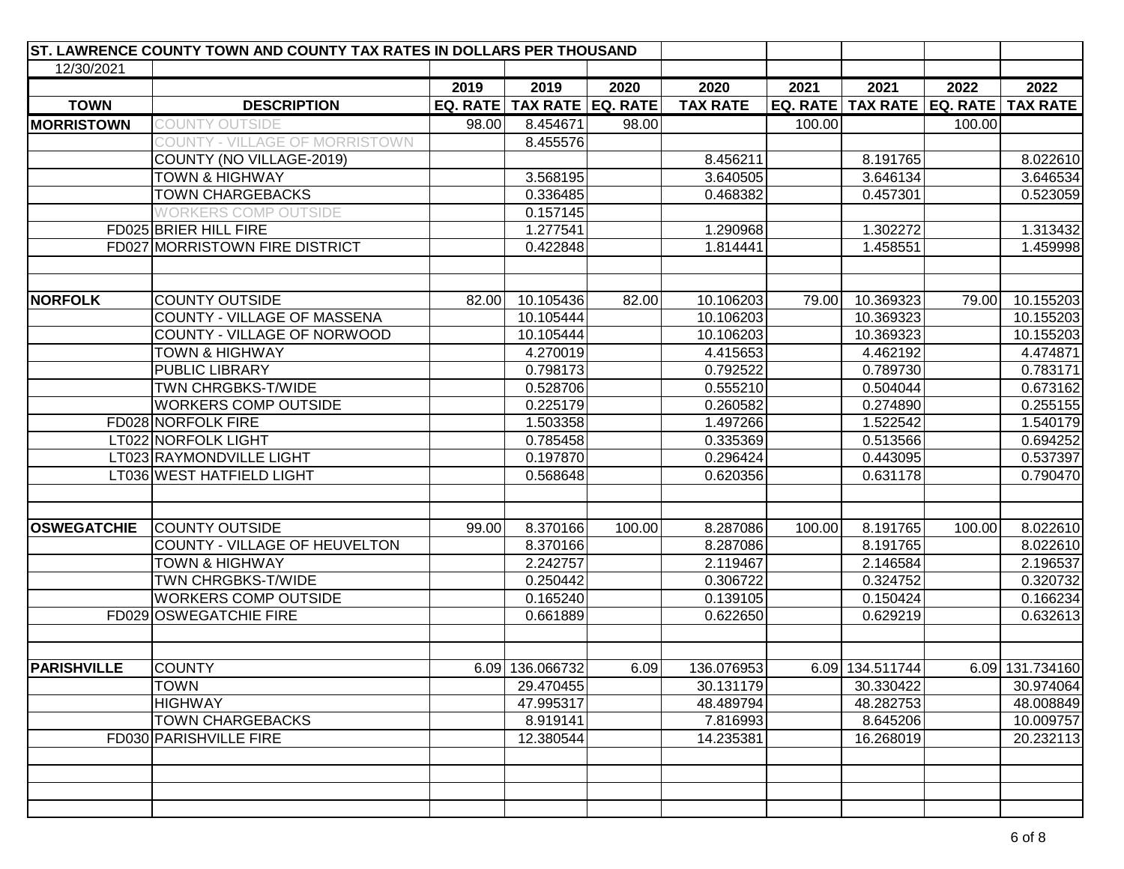|                    | ST. LAWRENCE COUNTY TOWN AND COUNTY TAX RATES IN DOLLARS PER THOUSAND |       |                                |        |                 |        |                                           |        |                 |
|--------------------|-----------------------------------------------------------------------|-------|--------------------------------|--------|-----------------|--------|-------------------------------------------|--------|-----------------|
| 12/30/2021         |                                                                       |       |                                |        |                 |        |                                           |        |                 |
|                    |                                                                       | 2019  | 2019                           | 2020   | 2020            | 2021   | 2021                                      | 2022   | 2022            |
| <b>TOWN</b>        | <b>DESCRIPTION</b>                                                    |       | EQ. RATE   TAX RATE   EQ. RATE |        | <b>TAX RATE</b> |        | EQ. RATE   TAX RATE   EQ. RATE   TAX RATE |        |                 |
| MORRISTOWN         | COUNTY OUTSIDE                                                        | 98.00 | 8.454671                       | 98.00  |                 | 100.00 |                                           | 100.00 |                 |
|                    | COUNTY - VILLAGE OF MORRISTOWN                                        |       | 8.455576                       |        |                 |        |                                           |        |                 |
|                    | COUNTY (NO VILLAGE-2019)                                              |       |                                |        | 8.456211        |        | 8.191765                                  |        | 8.022610        |
|                    | <b>TOWN &amp; HIGHWAY</b>                                             |       | 3.568195                       |        | 3.640505        |        | 3.646134                                  |        | 3.646534        |
|                    | <b>TOWN CHARGEBACKS</b>                                               |       | 0.336485                       |        | 0.468382        |        | 0.457301                                  |        | 0.523059        |
|                    | <b>WORKERS COMP OUTSIDE</b>                                           |       | 0.157145                       |        |                 |        |                                           |        |                 |
|                    | FD025 BRIER HILL FIRE                                                 |       | 1.277541                       |        | 1.290968        |        | 1.302272                                  |        | 1.313432        |
|                    | FD027 MORRISTOWN FIRE DISTRICT                                        |       | 0.422848                       |        | 1.814441        |        | 1.458551                                  |        | 1.459998        |
|                    |                                                                       |       |                                |        |                 |        |                                           |        |                 |
| <b>NORFOLK</b>     | <b>COUNTY OUTSIDE</b>                                                 | 82.00 | 10.105436                      | 82.00  | 10.106203       | 79.00  | 10.369323                                 | 79.00  | 10.155203       |
|                    | COUNTY - VILLAGE OF MASSENA                                           |       | 10.105444                      |        | 10.106203       |        | 10.369323                                 |        | 10.155203       |
|                    | COUNTY - VILLAGE OF NORWOOD                                           |       | 10.105444                      |        | 10.106203       |        | 10.369323                                 |        | 10.155203       |
|                    | <b>TOWN &amp; HIGHWAY</b>                                             |       | 4.270019                       |        | 4.415653        |        | 4.462192                                  |        | 4.474871        |
|                    | PUBLIC LIBRARY                                                        |       | 0.798173                       |        | 0.792522        |        | 0.789730                                  |        | 0.783171        |
|                    | TWN CHRGBKS-T/WIDE                                                    |       | 0.528706                       |        | 0.555210        |        | 0.504044                                  |        | 0.673162        |
|                    | <b>WORKERS COMP OUTSIDE</b>                                           |       | 0.225179                       |        | 0.260582        |        | 0.274890                                  |        | 0.255155        |
|                    | FD028 NORFOLK FIRE                                                    |       | 1.503358                       |        | 1.497266        |        | 1.522542                                  |        | 1.540179        |
|                    | LT022 NORFOLK LIGHT                                                   |       | 0.785458                       |        | 0.335369        |        | 0.513566                                  |        | 0.694252        |
|                    | LT023 RAYMONDVILLE LIGHT                                              |       | 0.197870                       |        | 0.296424        |        | 0.443095                                  |        | 0.537397        |
|                    | LT036 WEST HATFIELD LIGHT                                             |       | 0.568648                       |        | 0.620356        |        | 0.631178                                  |        | 0.790470        |
|                    |                                                                       |       |                                |        |                 |        |                                           |        |                 |
| <b>OSWEGATCHIE</b> | <b>COUNTY OUTSIDE</b>                                                 | 99.00 | 8.370166                       | 100.00 | 8.287086        | 100.00 | 8.191765                                  | 100.00 | 8.022610        |
|                    | COUNTY - VILLAGE OF HEUVELTON                                         |       | 8.370166                       |        | 8.287086        |        | 8.191765                                  |        | 8.022610        |
|                    | <b>TOWN &amp; HIGHWAY</b>                                             |       | 2.242757                       |        | 2.119467        |        | 2.146584                                  |        | 2.196537        |
|                    | TWN CHRGBKS-T/WIDE                                                    |       | 0.250442                       |        | 0.306722        |        | 0.324752                                  |        | 0.320732        |
|                    | <b>WORKERS COMP OUTSIDE</b>                                           |       | 0.165240                       |        | 0.139105        |        | 0.150424                                  |        | 0.166234        |
|                    | FD029 OSWEGATCHIE FIRE                                                |       | 0.661889                       |        | 0.622650        |        | 0.629219                                  |        | 0.632613        |
|                    |                                                                       |       |                                |        |                 |        |                                           |        |                 |
| <b>PARISHVILLE</b> | <b>COUNTY</b>                                                         |       | 6.09 136.066732                | 6.09   | 136.076953      |        | 6.09 134.511744                           |        | 6.09 131.734160 |
|                    | <b>TOWN</b>                                                           |       | 29.470455                      |        | 30.131179       |        | 30.330422                                 |        | 30.974064       |
|                    | <b>HIGHWAY</b>                                                        |       | 47.995317                      |        | 48.489794       |        | 48.282753                                 |        | 48.008849       |
|                    | <b>TOWN CHARGEBACKS</b>                                               |       | 8.919141                       |        | 7.816993        |        | 8.645206                                  |        | 10.009757       |
|                    | FD030 PARISHVILLE FIRE                                                |       | 12.380544                      |        | 14.235381       |        | 16.268019                                 |        | 20.232113       |
|                    |                                                                       |       |                                |        |                 |        |                                           |        |                 |
|                    |                                                                       |       |                                |        |                 |        |                                           |        |                 |
|                    |                                                                       |       |                                |        |                 |        |                                           |        |                 |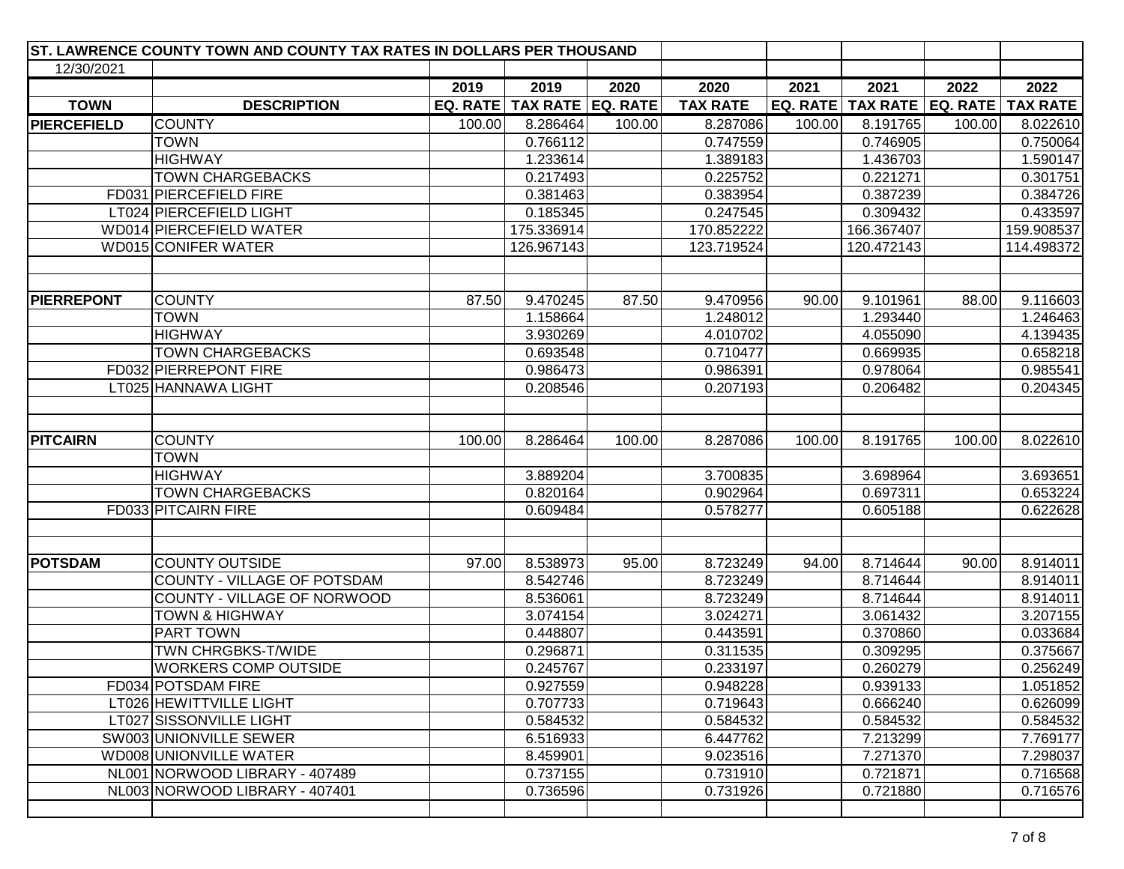| ST. LAWRENCE COUNTY TOWN AND COUNTY TAX RATES IN DOLLARS PER THOUSAND |                                |        |                                |        |                 |        |                                |        |                 |
|-----------------------------------------------------------------------|--------------------------------|--------|--------------------------------|--------|-----------------|--------|--------------------------------|--------|-----------------|
| 12/30/2021                                                            |                                |        |                                |        |                 |        |                                |        |                 |
|                                                                       |                                | 2019   | 2019                           | 2020   | 2020            | 2021   | 2021                           | 2022   | 2022            |
| <b>TOWN</b>                                                           | <b>DESCRIPTION</b>             |        | EQ. RATE   TAX RATE   EQ. RATE |        | <b>TAX RATE</b> |        | EQ. RATE   TAX RATE   EQ. RATE |        | <b>TAX RATE</b> |
| <b>PIERCEFIELD</b>                                                    | <b>COUNTY</b>                  | 100.00 | 8.286464                       | 100.00 | 8.287086        | 100.00 | 8.191765                       | 100.00 | 8.022610        |
|                                                                       | <b>TOWN</b>                    |        | 0.766112                       |        | 0.747559        |        | 0.746905                       |        | 0.750064        |
|                                                                       | <b>HIGHWAY</b>                 |        | 1.233614                       |        | 1.389183        |        | 1.436703                       |        | 1.590147        |
|                                                                       | <b>TOWN CHARGEBACKS</b>        |        | 0.217493                       |        | 0.225752        |        | 0.221271                       |        | 0.301751        |
|                                                                       | FD031 PIERCEFIELD FIRE         |        | 0.381463                       |        | 0.383954        |        | 0.387239                       |        | 0.384726        |
|                                                                       | LT024 PIERCEFIELD LIGHT        |        | 0.185345                       |        | 0.247545        |        | 0.309432                       |        | 0.433597        |
|                                                                       | WD014 PIERCEFIELD WATER        |        | 175.336914                     |        | 170.852222      |        | 166.367407                     |        | 159.908537      |
|                                                                       | WD015 CONIFER WATER            |        | 126.967143                     |        | 123.719524      |        | 120.472143                     |        | 114.498372      |
|                                                                       |                                |        |                                |        |                 |        |                                |        |                 |
|                                                                       |                                |        |                                |        |                 |        |                                |        |                 |
| <b>PIERREPONT</b>                                                     | <b>COUNTY</b>                  | 87.50  | 9.470245                       | 87.50  | 9.470956        | 90.00  | 9.101961                       | 88.00  | 9.116603        |
|                                                                       | <b>TOWN</b>                    |        | 1.158664                       |        | 1.248012        |        | 1.293440                       |        | 1.246463        |
|                                                                       | <b>HIGHWAY</b>                 |        | 3.930269                       |        | 4.010702        |        | 4.055090                       |        | 4.139435        |
|                                                                       | <b>TOWN CHARGEBACKS</b>        |        | 0.693548                       |        | 0.710477        |        | 0.669935                       |        | 0.658218        |
|                                                                       | FD032 PIERREPONT FIRE          |        | 0.986473                       |        | 0.986391        |        | 0.978064                       |        | 0.985541        |
|                                                                       | LT025 HANNAWA LIGHT            |        | 0.208546                       |        | 0.207193        |        | 0.206482                       |        | 0.204345        |
|                                                                       |                                |        |                                |        |                 |        |                                |        |                 |
| <b>PITCAIRN</b>                                                       | <b>COUNTY</b>                  | 100.00 | 8.286464                       | 100.00 | 8.287086        | 100.00 | 8.191765                       | 100.00 | 8.022610        |
|                                                                       | <b>TOWN</b>                    |        |                                |        |                 |        |                                |        |                 |
|                                                                       | <b>HIGHWAY</b>                 |        | 3.889204                       |        | 3.700835        |        | 3.698964                       |        | 3.693651        |
|                                                                       | <b>TOWN CHARGEBACKS</b>        |        | 0.820164                       |        | 0.902964        |        | 0.697311                       |        | 0.653224        |
|                                                                       | FD033 PITCAIRN FIRE            |        | 0.609484                       |        | 0.578277        |        | 0.605188                       |        | 0.622628        |
|                                                                       |                                |        |                                |        |                 |        |                                |        |                 |
| <b>POTSDAM</b>                                                        | <b>COUNTY OUTSIDE</b>          | 97.00  | 8.538973                       | 95.00  | 8.723249        | 94.00  | 8.714644                       | 90.00  | 8.914011        |
|                                                                       | COUNTY - VILLAGE OF POTSDAM    |        | 8.542746                       |        | 8.723249        |        | 8.714644                       |        | 8.914011        |
|                                                                       | COUNTY - VILLAGE OF NORWOOD    |        | 8.536061                       |        | 8.723249        |        | 8.714644                       |        | 8.914011        |
|                                                                       | <b>TOWN &amp; HIGHWAY</b>      |        | 3.074154                       |        | 3.024271        |        | 3.061432                       |        | 3.207155        |
|                                                                       | PART TOWN                      |        | 0.448807                       |        | 0.443591        |        | 0.370860                       |        | 0.033684        |
|                                                                       | TWN CHRGBKS-T/WIDE             |        | 0.296871                       |        | 0.311535        |        | 0.309295                       |        | 0.375667        |
|                                                                       | <b>WORKERS COMP OUTSIDE</b>    |        | 0.245767                       |        | 0.233197        |        | 0.260279                       |        | 0.256249        |
|                                                                       | FD034 POTSDAM FIRE             |        | 0.927559                       |        | 0.948228        |        | 0.939133                       |        | 1.051852        |
|                                                                       | LT026 HEWITTVILLE LIGHT        |        | 0.707733                       |        | 0.719643        |        | 0.666240                       |        | 0.626099        |
|                                                                       | LT027 SISSONVILLE LIGHT        |        | 0.584532                       |        | 0.584532        |        | 0.584532                       |        | 0.584532        |
|                                                                       | SW003 UNIONVILLE SEWER         |        | 6.516933                       |        | 6.447762        |        | 7.213299                       |        | 7.769177        |
|                                                                       | WD008 UNIONVILLE WATER         |        | 8.459901                       |        | 9.023516        |        | 7.271370                       |        | 7.298037        |
|                                                                       | NL001 NORWOOD LIBRARY - 407489 |        | 0.737155                       |        | 0.731910        |        | 0.721871                       |        | 0.716568        |
|                                                                       | NL003 NORWOOD LIBRARY - 407401 |        | 0.736596                       |        | 0.731926        |        | 0.721880                       |        | 0.716576        |
|                                                                       |                                |        |                                |        |                 |        |                                |        |                 |